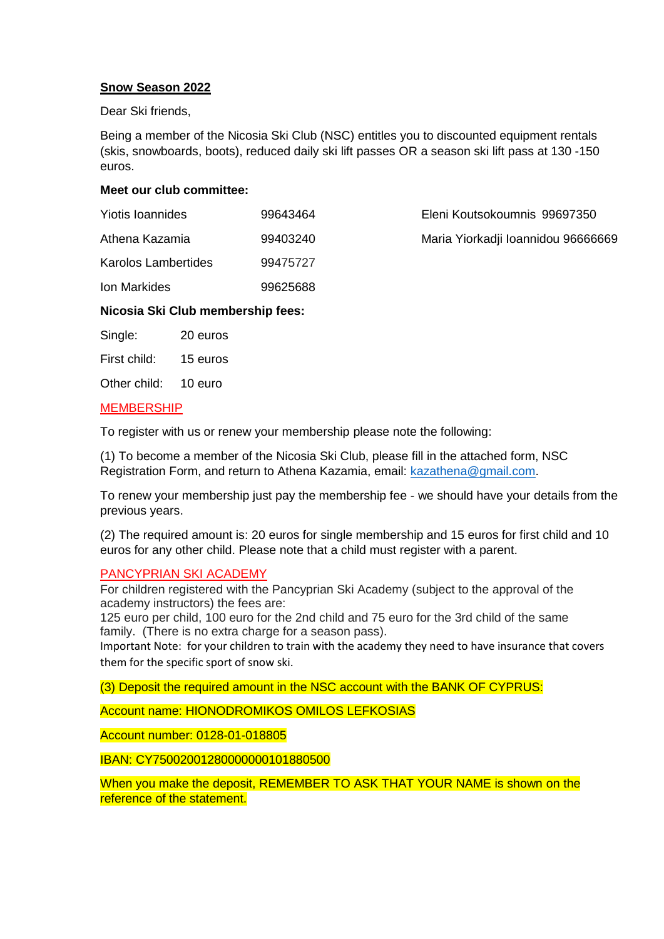## **Snow Season 2022**

Dear Ski friends,

Being a member of the Nicosia Ski Club (NSC) entitles you to discounted equipment rentals (skis, snowboards, boots), reduced daily ski lift passes OR a season ski lift pass at 130 -150 euros.

# **Meet our club committee:**

| Yiotis Ioannides           | 99643464 | Eleni Koutsokoumnis 99697350       |
|----------------------------|----------|------------------------------------|
| Athena Kazamia             | 99403240 | Maria Yiorkadji Ioannidou 96666669 |
| <b>Karolos Lambertides</b> | 99475727 |                                    |
| Ion Markides               | 99625688 |                                    |

## **Nicosia Ski Club membership fees:**

Single: 20 euros

First child: 15 euros

Other child: 10 euro

# MEMBERSHIP

To register with us or renew your membership please note the following:

(1) To become a member of the Nicosia Ski Club, please fill in the attached form, NSC Registration Form, and return to Athena Kazamia, email: [kazathena@gmail.com.](mailto:kazathena@gmail.com)

To renew your membership just pay the membership fee - we should have your details from the previous years.

(2) The required amount is: 20 euros for single membership and 15 euros for first child and 10 euros for any other child. Please note that a child must register with a parent.

## PANCYPRIAN SKI ACADEMY

For children registered with the Pancyprian Ski Academy (subject to the approval of the academy instructors) the fees are:

125 euro per child, 100 euro for the 2nd child and 75 euro for the 3rd child of the same family. (There is no extra charge for a season pass).

Important Note: for your children to train with the academy they need to have insurance that covers them for the specific sport of snow ski.

(3) Deposit the required amount in the NSC account with the BANK OF CYPRUS:

Account name: HIONODROMIKOS OMILOS LEFKOSIAS

Account number: 0128-01-018805

IBAN: CY75002001280000000101880500

When you make the deposit, REMEMBER TO ASK THAT YOUR NAME is shown on the reference of the statement.